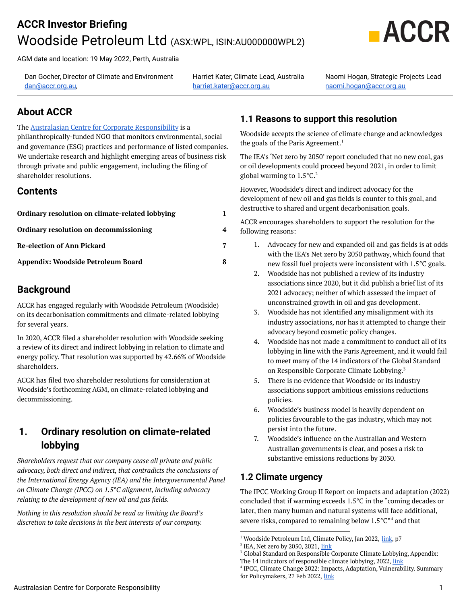# **ACCR Investor Briefing** Woodside Petroleum Ltd (ASX:WPL, ISIN:AU000000WPL2)



AGM date and location: 19 May 2022, Perth, Australia

Dan Gocher, Director of Climate and Environment [dan@accr.org.au,](mailto:dan@accr.org.au)

Harriet Kater, Climate Lead, Australia [harriet.kater@accr.org.au](mailto:harriet.kater@accr.org.au)

Naomi Hogan, Strategic Projects Lead [naomi.hogan@accr.org.au](mailto:naomi.hogan@accr.org.au)

## **About ACCR**

#### The Australasian Centre for Corporate [Responsibility](http://www.accr.org.au) is a

philanthropically-funded NGO that monitors environmental, social and governance (ESG) practices and performance of listed companies. We undertake research and highlight emerging areas of business risk through private and public engagement, including the filing of shareholder resolutions.

### **Contents**

| Ordinary resolution on climate-related lobbying |   |
|-------------------------------------------------|---|
| Ordinary resolution on decommissioning          | 4 |
| <b>Re-election of Ann Pickard</b>               | 7 |
| Appendix: Woodside Petroleum Board              |   |

## **Background**

ACCR has engaged regularly with Woodside Petroleum (Woodside) on its decarbonisation commitments and climate-related lobbying for several years.

In 2020, ACCR filed a shareholder resolution with Woodside seeking a review of its direct and indirect lobbying in relation to climate and energy policy. That resolution was supported by 42.66% of Woodside shareholders.

ACCR has filed two shareholder resolutions for consideration at Woodside's forthcoming AGM, on climate-related lobbying and decommissioning.

## <span id="page-0-0"></span>**1. Ordinary resolution on climate-related lobbying**

*Shareholders request that our company cease all private and public advocacy, both direct and indirect, that contradicts the conclusions of the International Energy Agency (IEA) and the Intergovernmental Panel on Climate Change (IPCC) on 1.5°C alignment, including advocacy relating to the development of new oil and gas fields.*

*Nothing in this resolution should be read as limiting the Board's discretion to take decisions in the best interests of our company.*

## **1.1 Reasons to support this resolution**

Woodside accepts the science of climate change and acknowledges the goals of the Paris Agreement. 1

The IEA's 'Net zero by 2050' report concluded that no new coal, gas or oil developments could proceed beyond 2021, in order to limit global warming to  $1.5^{\circ}$ C.<sup>2</sup>

However, Woodside's direct and indirect advocacy for the development of new oil and gas fields is counter to this goal, and destructive to shared and urgent decarbonisation goals.

ACCR encourages shareholders to support the resolution for the following reasons:

- 1. Advocacy for new and expanded oil and gas fields is at odds with the IEA's Net zero by 2050 pathway, which found that new fossil fuel projects were inconsistent with 1.5°C goals.
- 2. Woodside has not published a review of its industry associations since 2020, but it did publish a brief list of its 2021 advocacy; neither of which assessed the impact of unconstrained growth in oil and gas development.
- 3. Woodside has not identified any misalignment with its industry associations, nor has it attempted to change their advocacy beyond cosmetic policy changes.
- 4. Woodside has not made a commitment to conduct all of its lobbying in line with the Paris Agreement, and it would fail to meet many of the 14 indicators of the Global Standard on Responsible Corporate Climate Lobbying. 3
- 5. There is no evidence that Woodside or its industry associations support ambitious emissions reductions policies.
- 6. Woodside's business model is heavily dependent on policies favourable to the gas industry, which may not persist into the future.
- 7. Woodside's influence on the Australian and Western Australian governments is clear, and poses a risk to substantive emissions reductions by 2030.

### **1.2 Climate urgency**

The IPCC Working Group II Report on impacts and adaptation (2022) concluded that if warming exceeds 1.5°C in the "coming decades or later, then many human and natural systems will face additional, severe risks, compared to remaining below  $1.5^{\circ}$ C"<sup>4</sup> and that

<sup>&</sup>lt;sup>1</sup> Woodside Petroleum Ltd, Climate Policy, Jan 2022, *[link](https://www.woodside.com.au/docs/default-source/investor-documents/major-reports-(static-pdfs)/2021-climate-report/climate-report-2021.pdf)*, p7

<sup>&</sup>lt;sup>2</sup> IEA, Net zero by 2050, 2021, [link](https://www.iea.org/reports/net-zero-by-2050)

<sup>&</sup>lt;sup>3</sup> Global Standard on Responsible Corporate Climate Lobbying, Appendix:

The 14 indicators of responsible climate lobbying, 2022, [link](https://climate-lobbying.com/wp-content/uploads/2022/03/2022_global-standard-responsible-climate-lobbying_APPENDIX.pdf)

<sup>4</sup> IPCC, Climate Change 2022: Impacts, Adaptation, Vulnerability. Summary for Policymakers, 27 Feb 2022, [link](https://report.ipcc.ch/ar6wg2/pdf/IPCC_AR6_WGII_SummaryForPolicymakers.pdf)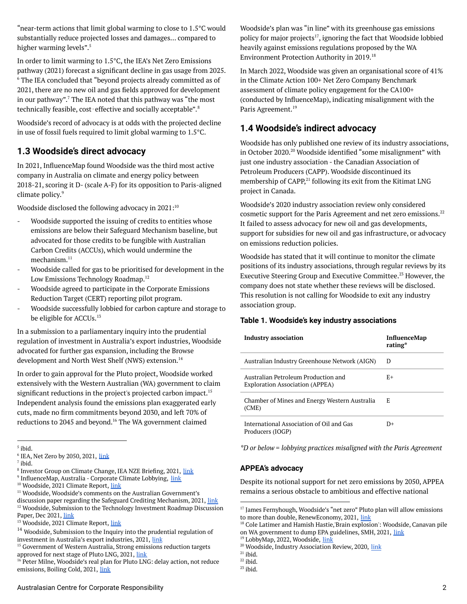"near-term actions that limit global warming to close to  $1.5^{\circ}$ C would substantially reduce projected losses and damages… compared to higher warming levels". 5

In order to limit warming to 1.5°C, the IEA's Net Zero Emissions pathway (2021) forecast a significant decline in gas usage from 2025.  $6$  The IEA concluded that "beyond projects already committed as of 2021, there are no new oil and gas fields approved for development in our pathway". $^7$  The IEA noted that this pathway was "the most technically feasible, cost-effective and socially acceptable".<sup>8</sup>

Woodside's record of advocacy is at odds with the projected decline in use of fossil fuels required to limit global warming to 1.5°C.

## **1.3 Woodside's direct advocacy**

In 2021, InfluenceMap found Woodside was the third most active company in Australia on climate and energy policy between 2018-21, scoring it D- (scale A-F) for its opposition to Paris-aligned climate policy. 9

Woodside disclosed the following advocacy in 2021: 10

- Woodside supported the issuing of credits to entities whose emissions are below their Safeguard Mechanism baseline, but advocated for those credits to be fungible with Australian Carbon Credits (ACCUs), which would undermine the mechanism. 11
- Woodside called for gas to be prioritised for development in the Low Emissions Technology Roadmap.<sup>12</sup>
- Woodside agreed to participate in the Corporate Emissions Reduction Target (CERT) reporting pilot program.
- Woodside successfully lobbied for carbon capture and storage to be eligible for ACCUs.<sup>13</sup>

In a submission to a parliamentary inquiry into the prudential regulation of investment in Australia's export industries, Woodside advocated for further gas expansion, including the Browse development and North West Shelf (NWS) extension. 14

In order to gain approval for the Pluto project, Woodside worked extensively with the Western Australian (WA) government to claim significant reductions in the project's projected carbon impact. 15 Independent analysis found the emissions plan exaggerated early cuts, made no firm commitments beyond 2030, and left 70% of reductions to 2045 and beyond.<sup>16</sup> The WA government claimed

<sup>15</sup> Government of Western Australia, Strong emissions reduction targets approved for next stage of Pluto LNG, 2021, [link](https://www.mediastatements.wa.gov.au/Pages/McGowan/2021/06/Strong-emissions-reduction-targets-approved-for-next-stage-of-Pluto-LNG.aspx)

<sup>16</sup> Peter Milne, Woodside's real plan for Pluto LNG: delay action, not reduce emissions, Boiling Cold, 2021, [link](https://www.boilingcold.com.au/woodsides-fudged-pluto-net-zero-plan-is-much-less-than-it-appears/)

Woodside's plan was "in line" with its greenhouse gas emissions policy for major projects<sup>17</sup>, ignoring the fact that Woodside lobbied heavily against emissions regulations proposed by the WA Environment Protection Authority in 2019. 18

In March 2022, Woodside was given an organisational score of 41% in the Climate Action 100+ Net Zero Company Benchmark assessment of climate policy engagement for the CA100+ (conducted by InfluenceMap), indicating misalignment with the Paris Agreement. 19

## **1.4 Woodside's indirect advocacy**

Woodside has only published one review of its industry associations, in October 2020.<sup>20</sup> Woodside identified "some misalignment" with just one industry association - the Canadian Association of Petroleum Producers (CAPP). Woodside discontinued its membership of CAPP,<sup>21</sup> following its exit from the Kitimat LNG project in Canada.

Woodside's 2020 industry association review only considered cosmetic support for the Paris Agreement and net zero emissions. 22 It failed to assess advocacy for new oil and gas developments, support for subsidies for new oil and gas infrastructure, or advocacy on emissions reduction policies.

Woodside has stated that it will continue to monitor the climate positions of its industry associations, through regular reviews by its Executive Steering Group and Executive Committee.<sup>23</sup> However, the company does not state whether these reviews will be disclosed. This resolution is not calling for Woodside to exit any industry association group.

#### **Table 1. Woodside's key industry associations**

| <b>Industry association</b>                                                   | InfluenceMap<br>rating* |
|-------------------------------------------------------------------------------|-------------------------|
| Australian Industry Greenhouse Network (AIGN)                                 | D                       |
| Australian Petroleum Production and<br><b>Exploration Association (APPEA)</b> | E+                      |
| Chamber of Mines and Energy Western Australia<br>(CME)                        | E                       |
| International Association of Oil and Gas<br>Producers (IOGP)                  | D+                      |

*\*D or below = lobbying practices misaligned with the Paris Agreement*

#### **APPEA's advocacy**

Despite its notional support for net zero emissions by 2050, APPEA remains a serious obstacle to ambitious and effective national

<sup>5</sup> ibid.

<sup>&</sup>lt;sup>6</sup> IEA, Net Zero by 2050, 2021, [link](https://www.iea.org/reports/net-zero-by-2050)

 $<sup>7</sup>$  ibid.</sup>

<sup>&</sup>lt;sup>8</sup> Investor Group on Climate Change, IEA NZE Briefing, 2021, <u>[link](https://igcc.org.au/wp-content/uploads/2021/07/IGCC-IEANZE_BriefingPaper_FINAL.pdf)</u>

<sup>&</sup>lt;sup>9</sup> InfluenceMap, Australia - Corporate Climate Lobbying, [link](https://australia.influencemap.org/)

<sup>&</sup>lt;sup>10</sup> Woodside, 2021 Climate Report, [link](https://www.woodside.com.au/docs/default-source/investor-documents/major-reports-(static-pdfs)/2021-climate-report/climate-report-2021.pdf)

<sup>&</sup>lt;sup>12</sup> Woodside, Submission to the Technology Investment Roadmap Discussion Paper, Dec 2021, [link](https://www.woodside.com.au/docs/default-source/sustainability-documents/transparency-documents/2020-government-submissions-reports/woodside-submission-to-low-emissions-technology-investment-roadmap.pdf?sfvrsn=9a65762e_6) <sup>11</sup> Woodside, Woodside's comments on the Australian Government's discussion paper regarding the Safeguard Crediting Mechanism, 2021, [link](https://www.woodside.com.au/docs/default-source/sustainability-documents/transparency-documents/2021-government-submissions-reports/submission--safeguard-crediting-mechanism-(october-2021).pdf?sfvrsn=4d2d41b2_2)

<sup>&</sup>lt;sup>13</sup> Woodside, 2021 Climate Report, [link](https://www.woodside.com.au/docs/default-source/investor-documents/major-reports-(static-pdfs)/2021-climate-report/climate-report-2021.pdf)

 $14$  Woodside, Submission to the Inquiry into the prudential regulation of investment in Australia's export industries, 2021, [link](https://www.woodside.com.au/docs/default-source/sustainability-documents/transparency-documents/2022-government-submissions-and-reports/submission-inquiry-into-the-prudential-regulation-of-investment-in-australia-s-export-industries-.pdf?sfvrsn=b418682c_5)

<sup>&</sup>lt;sup>17</sup> James Fernyhough, Woodside's "net zero" Pluto plan will allow emissions to more than double, RenewEconomy, 2021, [link](https://reneweconomy.com.au/woodsides-net-zero-pluto-plan-will-allow-emissions-to-more-than-double/)

<sup>&</sup>lt;sup>18</sup> Cole Latimer and Hamish Hastie,'Brain explosion': Woodside, Canavan pile on WA government to dump EPA guidelines, SMH, 2021, [link](https://www.smh.com.au/business/the-economy/brain-explosion-woodside-canavan-pile-on-wa-government-to-dump-epa-guidelines-20190313-p513r9.html)

<sup>19</sup> LobbyMap, 2022, Woodside, [link](https://lobbymap.org/company/Woodside-Petroleum)

<sup>&</sup>lt;sup>20</sup> Woodside, Industry Association Review, 2020, [link](https://www.woodside.com.au/docs/default-source/sustainability-documents/transparency-documents/industry-association-review-report.pdf)

 $21$  ibid.

 $22$  ibid.

 $23$  ibid.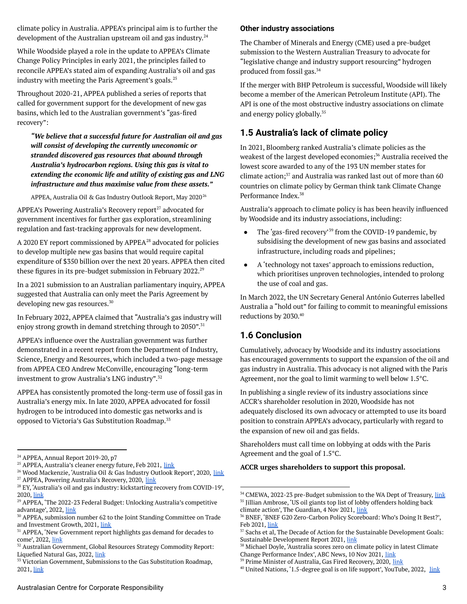climate policy in Australia. APPEA's principal aim is to further the development of the Australian upstream oil and gas industry. 24

While Woodside played a role in the update to APPEA's Climate Change Policy Principles in early 2021, the principles failed to reconcile APPEA's stated aim of expanding Australia's oil and gas industry with meeting the Paris Agreement's goals. 25

Throughout 2020-21, APPEA published a series of reports that called for government support for the development of new gas basins, which led to the Australian government's "gas-fired recovery":

*"We believe that a successful future for Australian oil and gas will consist of developing the currently uneconomic or stranded discovered gas resources that abound through Australia's hydrocarbon regions. Using this gas is vital to extending the economic life and utility of existing gas and LNG infrastructure and thus maximise value from these assets."*

APPEA, Australia Oil & Gas Industry Outlook Report, May 2020 $^{\rm 26}$ 

APPEA's Powering Australia's Recovery report<sup>27</sup> advocated for government incentives for further gas exploration, streamlining regulation and fast-tracking approvals for new development.

A 2020 EY report commissioned by  $APPEA<sup>28</sup>$  advocated for policies to develop multiple new gas basins that would require capital expenditure of \$350 billion over the next 20 years. APPEA then cited these figures in its pre-budget submission in February 2022. 29

In a 2021 submission to an Australian parliamentary inquiry, APPEA suggested that Australia can only meet the Paris Agreement by developing new gas resources. 30

In February 2022, APPEA claimed that "Australia's gas industry will enjoy strong growth in demand stretching through to 2050".<sup>31</sup>

APPEA's influence over the Australian government was further demonstrated in a recent report from the Department of Industry, Science, Energy and Resources, which included a two-page message from APPEA CEO Andrew McConville, encouraging "long-term investment to grow Australia's LNG industry". 32

APPEA has consistently promoted the long-term use of fossil gas in Australia's energy mix. In late 2020, APPEA advocated for fossil hydrogen to be introduced into domestic gas networks and is opposed to Victoria's Gas Substitution Roadmap.<sup>33</sup>

#### **Other industry associations**

The Chamber of Minerals and Energy (CME) used a pre-budget submission to the Western Australian Treasury to advocate for "legislative change and industry support resourcing" hydrogen produced from fossil gas. 34

If the merger with BHP Petroleum is successful, Woodside will likely become a member of the American Petroleum Institute (API). The API is one of the most obstructive industry associations on climate and energy policy globally. 35

### **1.5 Australia's lack of climate policy**

In 2021, Bloomberg ranked Australia's climate policies as the weakest of the largest developed economies;<sup>36</sup> Australia received the lowest score awarded to any of the 193 UN member states for climate action; $37$  and Australia was ranked last out of more than 60 countries on climate policy by German think tank Climate Change Performance Index. 38

Australia's approach to climate policy is has been heavily influenced by Woodside and its industry associations, including:

- The 'gas-fired recovery'<sup>39</sup> from the COVID-19 pandemic, by subsidising the development of new gas basins and associated infrastructure, including roads and pipelines;
- A 'technology not taxes' approach to emissions reduction, which prioritises unproven technologies, intended to prolong the use of coal and gas.

In March 2022, the UN Secretary General António Guterres labelled Australia a "hold out" for failing to commit to meaningful emissions reductions by 2030. 40

### **1.6 Conclusion**

Cumulatively, advocacy by Woodside and its industry associations has encouraged governments to support the expansion of the oil and gas industry in Australia. This advocacy is not aligned with the Paris Agreement, nor the goal to limit warming to well below 1.5°C.

In publishing a single review of its industry associations since ACCR's shareholder resolution in 2020, Woodside has not adequately disclosed its own advocacy or attempted to use its board position to constrain APPEA's advocacy, particularly with regard to the expansion of new oil and gas fields.

Shareholders must call time on lobbying at odds with the Paris Agreement and the goal of 1.5°C.

#### **ACCR urges shareholders to support this proposal.**

<sup>&</sup>lt;sup>24</sup> APPEA, Annual Report 2019-20, p7

<sup>&</sup>lt;sup>25</sup> APPEA, Australia's cleaner energy future, Feb 2021, [link](https://www.appea.com.au/wp-content/uploads/2021/02/2021-APPEA-Climate-Change-Policy-Principles.pdf)

<sup>&</sup>lt;sup>27</sup> APPEA, Powering Australia's Recovery, 2020, [link](https://www.appea.com.au/wp-content/uploads/2020/09/APPEA-Powering-Australias-Recovery.pdf) <sup>26</sup> Wood Mackenzie, 'Australia Oil & Gas Industry Outlook Report', 2020, [link](https://appea.com.au/wp-content/uploads/2020/06/Australia-Oil-and-Gas-Industry-Outlook-Report.pdf)

<sup>&</sup>lt;sup>28</sup> EY, 'Australia's oil and gas industry: kickstarting recovery from COVID-19', 2020, [link](https://www.appea.com.au/wp-content/uploads/2020/11/EY-Report-Australias-oil-and-gas-industry-Kickstarting-recovery-from-COVID-19.pdf)

<sup>&</sup>lt;sup>29</sup> APPEA, 'The 2022-23 Federal Budget: Unlocking Australia's competitive advantage', 2022, [link](https://www.appea.com.au/all_news/the-2022-23-federal-budget-unlocking-australias-competitive-advantage/)

<sup>30</sup> APPEA, submission number 62 to the Joint Standing Committee on Trade and Investment Growth, 2021, [link](https://www.aph.gov.au/Parliamentary_Business/Committees/Joint/Joint_Standing_Committee_on_Trade_and_Investment_Growth/ExportIndustries/Submissions)

<sup>&</sup>lt;sup>31</sup> APPEA, 'New Government report highlights gas demand for decades to come', 2022, [link](https://www.appea.com.au/all_news/media-release-new-government-report-highlights-gas-demand-for-decades-to-come/)

<sup>&</sup>lt;sup>32</sup> Australian Government, Global Resources Strategy Commodity Report: Liquefied Natural Gas, 2022, [link](https://www.industry.gov.au/sites/default/files/February%202022/document/grs-commodity-report-lng.pdf)

<sup>&</sup>lt;sup>33</sup> Victorian Government, Submissions to the Gas Substitution Roadmap, 2021, [link](https://engage.vic.gov.au/help-us-build-victorias-gas-substitution-roadmap)

<sup>&</sup>lt;sup>35</sup> Jillian Ambrose, 'US oil giants top list of lobby offenders holding back climate action', The Guardian, 4 Nov 2021, [link](https://www.theguardian.com/business/2021/nov/04/us-oil-giants-top-list-lobby-offenders-exxonmobile-chevron-toyota) <sup>34</sup> CMEWA, 2022-23 pre-Budget submission to the WA Dept of Treasury, [link](https://www.cmewa.com.au/cme_submissions/2022-23-pre-budget-submission-to-wa-government/)

<sup>36</sup> BNEF, 'BNEF G20 Zero-Carbon Policy Scoreboard: Who's Doing It Best?', Feb 2021, [link](https://www.bloomberg.com/professional/blog/webinar/bnef-g20-zero-carbon-policy-scoreboard-whos-doing-it-best/)

<sup>&</sup>lt;sup>37</sup> Sachs et al, The Decade of Action for the Sustainable Development Goals: Sustainable Development Report 2021, [link](https://www.sdgindex.org/reports/sustainable-development-report-2021/)

<sup>38</sup> Michael Doyle, 'Australia scores zero on climate policy in latest Climate Change Performance Index', ABC News, 10 Nov 2021, [link](https://www.abc.net.au/news/2021-11-10/australia-scores-zero-on-climate-policy-in-latest-report/100608026)

<sup>&</sup>lt;sup>39</sup> Prime Minister of Australia, Gas Fired Recovery, 2020, [link](https://www.pm.gov.au/media/gas-fired-recovery)

<sup>&</sup>lt;sup>40</sup> United Nations, '1.5-degree goal is on life support', YouTube, 2022, [link](https://youtu.be/xlcd0k3fpjE)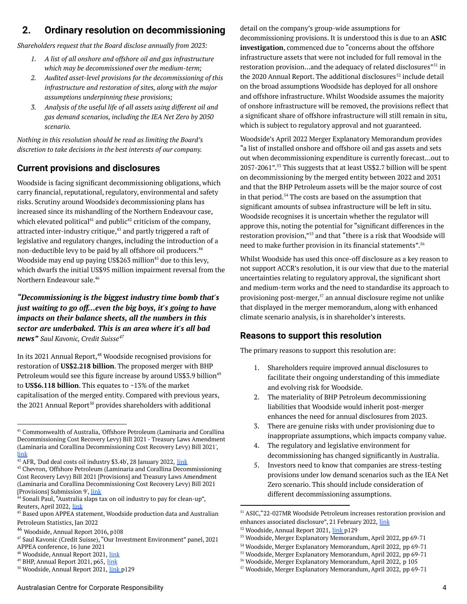## <span id="page-3-0"></span>**2. Ordinary resolution on decommissioning**

*Shareholders request that the Board disclose annually from 2023:*

- *1. A list of all onshore and offshore oil and gas infrastructure which may be decommissioned over the medium-term;*
- *2. Audited asset-level provisions for the decommissioning of this infrastructure and restoration of sites, along with the major assumptions underpinning these provisions;*
- *3. Analysis of the useful life of all assets using different oil and gas demand scenarios, including the IEA Net Zero by 2050 scenario.*

*Nothing in this resolution should be read as limiting the Board's discretion to take decisions in the best interests of our company.*

### **Current provisions and disclosures**

Woodside is facing significant decommissioning obligations, which carry financial, reputational, regulatory, environmental and safety risks. Scrutiny around Woodside's decommissioning plans has increased since its mishandling of the Northern Endeavour case, which elevated political $^{41}$  and public $^{42}$  criticism of the company, attracted inter-industry critique, $^{43}$  and partly triggered a raft of legislative and regulatory changes, including the introduction of a non-deductible levy to be paid by all offshore oil producers. 44 Woodside may end up paying US\$263 million $45$  due to this levy, which dwarfs the initial US\$95 million impairment reversal from the Northern Endeavour sale. 46

*"Decommissioning is the biggest industry time bomb that's just waiting to go off…even the big boys, it's going to have impacts on their balance sheets, all the numbers in this sector are underbaked. This is an area where it's all bad news" Saul Kavonic, Credit Suisse 47*

In its 2021 Annual Report,<sup>48</sup> Woodside recognised provisions for restoration of **US\$2.218 billion**. The proposed merger with BHP Petroleum would see this figure increase by around US\$3.9 billion 49 to **US\$6.118 billion**. This equates to ~13% of the market capitalisation of the merged entity. Compared with previous years, the 2021 Annual Report<sup>50</sup> provides shareholders with additional

 $42$  AFR, 'Dud deal costs oil industry \$3.4b', 28 January 2022,  $\frac{link}{l}$  $\frac{link}{l}$  $\frac{link}{l}$ 

<sup>43</sup> Chevron, 'Offshore Petroleum (Laminaria and Corallina Decommissioning Cost Recovery Levy) Bill 2021 [Provisions] and Treasury Laws Amendment (Laminaria and Corallina Decommissioning Cost Recovery Levy) Bill 2021 [Provisions] Submission 9', [link](https://www.aph.gov.au/DocumentStore.ashx?id=4dbee42f-e891-4b08-90df-f59acdfd8276&subId=717063)

detail on the company's group-wide assumptions for decommissioning provisions. It is understood this is due to an **ASIC investigation**, commenced due to "concerns about the offshore infrastructure assets that were not included for full removal in the restoration provision...and the adequacy of related disclosures"<sup>51</sup> in the 2020 Annual Report. The additional disclosures $^{\rm 52}$  include detail on the broad assumptions Woodside has deployed for all onshore and offshore infrastructure. Whilst Woodside assumes the majority of onshore infrastructure will be removed, the provisions reflect that a significant share of offshore infrastructure will still remain in situ, which is subject to regulatory approval and not guaranteed.

Woodside's April 2022 Merger Explanatory Memorandum provides "a list of installed onshore and offshore oil and gas assets and sets out when decommissioning expenditure is currently forecast…out to 2057-2061".<sup>53</sup> This suggests that at least US\$2.7 billion will be spent on decommissioning by the merged entity between 2022 and 2031 and that the BHP Petroleum assets will be the major source of cost in that period.<sup>54</sup> The costs are based on the assumption that significant amounts of subsea infrastructure will be left in situ. Woodside recognises it is uncertain whether the regulator will approve this, noting the potential for "significant differences in the restoration provision,"<sup>55</sup> and that "there is a risk that Woodside will need to make further provision in its financial statements". 56

Whilst Woodside has used this once-off disclosure as a key reason to not support ACCR's resolution, it is our view that due to the material uncertainties relating to regulatory approval, the significant short and medium-term works and the need to standardise its approach to provisioning post-merger, $57$  an annual disclosure regime not unlike that displayed in the merger memorandum, along with enhanced climate scenario analysis, is in shareholder's interests.

### **Reasons to support this resolution**

The primary reasons to support this resolution are:

- 1. Shareholders require improved annual disclosures to facilitate their ongoing understanding of this immediate and evolving risk for Woodside.
- 2. The materiality of BHP Petroleum decommissioning liabilities that Woodside would inherit post-merger enhances the need for annual disclosures from 2023.
- 3. There are genuine risks with under provisioning due to inappropriate assumptions, which impacts company value.
- 4. The regulatory and legislative environment for decommissioning has changed significantly in Australia.
- 5. Investors need to know that companies are stress-testing provisions under low demand scenarios such as the IEA Net Zero scenario. This should include consideration of different decommissioning assumptions.

<sup>41</sup> Commonwealth of Australia, 'Offshore Petroleum (Laminaria and Corallina Decommissioning Cost Recovery Levy) Bill 2021 - Treasury Laws Amendment (Laminaria and Corallina Decommissioning Cost Recovery Levy) Bill 2021', [link](https://parlinfo.aph.gov.au/parlInfo/download/committees/commsen/25290/toc_pdf/Economics%20Legislation%20Committee_2021_11_08_Official.pdf;fileType=application%2Fpdf#search=%22committees/commsen/25290/0000%22)

<sup>44</sup> Sonali Paul, "Australia slaps tax on oil industry to pay for clean-up", Reuters, April 2022, [link](https://www.reuters.com/business/energy/australia-imposes-levy-oil-industry-pay-abandoned-oil-field-clean-up-2022-03-31/)

<sup>45</sup> Based upon APPEA statement, Woodside production data and Australian Petroleum Statistics, Jan 2022

<sup>46</sup> Woodside, Annual Report 2016, p108

<sup>47</sup> Saul Kavonic (Credit Suisse), "Our Investment Environment" panel, 2021 APPEA conference, 16 June 2021

<sup>&</sup>lt;sup>48</sup> Woodside, Annual Report 2021, [link](https://www.woodside.com.au/docs/default-source/investor-documents/major-reports-(static-pdfs)/2021-full-year-results/annual-report-2021.pdf)

<sup>&</sup>lt;sup>49</sup> BHP, Annual Report 2021, p65, [link](https://www.bhp.com/-/media/documents/investors/annual-reports/2021/210914_bhpannualreport2021.pdf?sc_lang=en&hash=15F0B58BC27ADFA860F0BE29B61E199D)

<sup>&</sup>lt;sup>50</sup> Woodside, Annual Report 2021, [link](https://www.woodside.com.au/docs/default-source/investor-documents/major-reports-(static-pdfs)/2021-full-year-results/annual-report-2021.pdf) p129

<sup>51</sup> ASIC,"22-027MR Woodside Petroleum increases restoration provision and enhances associated disclosure", 21 February 2022, [link](https://asic.gov.au/about-asic/news-centre/find-a-media-release/2022-releases/22-027mr-woodside-petroleum-increases-restoration-provision-and-enhances-associated-disclosure/)

<sup>52</sup> Woodside, Annual Report 2021, [link](https://www.woodside.com.au/docs/default-source/investor-documents/major-reports-(static-pdfs)/2021-full-year-results/annual-report-2021.pdf) p129

<sup>53</sup> Woodside, Merger Explanatory Memorandum, April 2022, pp 69-71

<sup>54</sup> Woodside, Merger Explanatory Memorandum, April 2022, pp 69-71

<sup>55</sup> Woodside, Merger Explanatory Memorandum, April 2022, pp 69-71

<sup>56</sup> Woodside, Merger Explanatory Memorandum, April 2022, p 105

<sup>57</sup> Woodside, Merger Explanatory Memorandum, April 2022, pp 69-71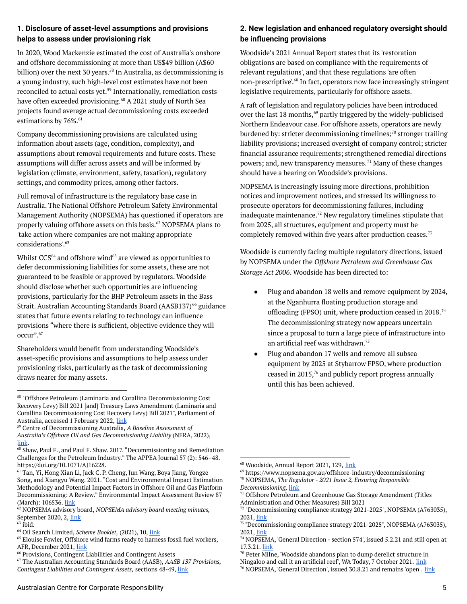#### **1. Disclosure of asset-level assumptions and provisions helps to assess under provisioning risk**

In 2020, Wood Mackenzie estimated the cost of Australia's onshore and offshore decommissioning at more than US\$49 billion (A\$60 billion) over the next 30 years.<sup>58</sup> In Australia, as decommissioning is a young industry, such high-level cost estimates have not been reconciled to actual costs yet.<sup>59</sup> Internationally, remediation costs have often exceeded provisioning.<sup>60</sup> A 2021 study of North Sea projects found average actual decommissioning costs exceeded estimations by 76%. 61

Company decommissioning provisions are calculated using information about assets (age, condition, complexity), and assumptions about removal requirements and future costs. These assumptions will differ across assets and will be informed by legislation (climate, environment, safety, taxation), regulatory settings, and commodity prices, among other factors.

Full removal of infrastructure is the regulatory base case in Australia. The National Offshore Petroleum Safety Environmental Management Authority (NOPSEMA) has questioned if operators are properly valuing offshore assets on this basis.<sup>62</sup> NOPSEMA plans to 'take action where companies are not making appropriate considerations'. 63

Whilst  $CCS^{64}$  and offshore wind $^{65}$  are viewed as opportunities to defer decommissioning liabilities for some assets, these are not guaranteed to be feasible or approved by regulators. Woodside should disclose whether such opportunities are influencing provisions, particularly for the BHP Petroleum assets in the Bass Strait. Australian Accounting Standards Board (AASB137)<sup>66</sup> guidance states that future events relating to technology can influence provisions "where there is sufficient, objective evidence they will occur". 67

Shareholders would benefit from understanding Woodside's asset-specific provisions and assumptions to help assess under provisioning risks, particularly as the task of decommissioning draws nearer for many assets.

<sup>59</sup> Centre of Decommissioning Australia, *A Baseline Assessment of Australia's Offshore Oil and Gas Decommissioning Liability* (NERA, 2022), [link](https://www.nera.org.au/Publications-and-insights/Attachment?Action=Download&Attachment_id=358).

#### **2. New legislation and enhanced regulatory oversight should be influencing provisions**

Woodside's 2021 Annual Report states that its 'restoration obligations are based on compliance with the requirements of relevant regulations', and that these regulations 'are often non-prescriptive'.<sup>68</sup> In fact, operators now face increasingly stringent legislative requirements, particularly for offshore assets.

A raft of legislation and regulatory policies have been introduced over the last 18 months, $69$  partly triggered by the widely-publicised Northern Endeavour case. For offshore assets, operators are newly burdened by: stricter decommissioning timelines; $\frac{7}{0}$  stronger trailing liability provisions; increased oversight of company control; stricter financial assurance requirements; strengthened remedial directions powers; and, new transparency measures.<sup>71</sup> Many of these changes should have a bearing on Woodside's provisions.

NOPSEMA is increasingly issuing more directions, prohibition notices and improvement notices, and stressed its willingness to prosecute operators for decommissioning failures, including inadequate maintenance. $72$  New regulatory timelines stipulate that from 2025, all structures, equipment and property must be completely removed within five years after production ceases. 73

Woodside is currently facing multiple regulatory directions, issued by NOPSEMA under the *Offshore Petroleum and Greenhouse Gas Storage Act 2006*. Woodside has been directed to:

- Plug and abandon 18 wells and remove equipment by 2024, at the Nganhurra floating production storage and offloading (FPSO) unit, where production ceased in 2018.<sup>74</sup> The decommissioning strategy now appears uncertain since a proposal to turn a large piece of infrastructure into an artificial reef was withdrawn. 75
- Plug and abandon 17 wells and remove all subsea equipment by 2025 at Stybarrow FPSO, where production ceased in  $2015<sup>76</sup>$  and publicly report progress annually until this has been achieved.

<sup>58</sup> "Offshore Petroleum (Laminaria and Corallina Decommissioning Cost Recovery Levy) Bill 2021 [and] Treasury Laws Amendment (Laminaria and Corallina Decommissioning Cost Recovery Levy) Bill 2021", Parliament of Australia, accessed 1 February 2022, [link](https://www.aph.gov.au/Parliamentary_Business/Bills_Legislation/bd/bd2122a/22bd032#_ftn10)

 $\overline{60}$  Shaw, Paul F., and Paul F. Shaw. 2017. "Decommissioning and Remediation Challenges for the Petroleum Industry." The APPEA Journal 57 (2): 546–48. https://doi.org/10.1071/AJ16228.

<sup>61</sup> Tan, Yi, Hong Xian Li, Jack C. P. Cheng, Jun Wang, Boya Jiang, Yongze Song, and Xiangyu Wang. 2021. "Cost and Environmental Impact Estimation Methodology and Potential Impact Factors in Offshore Oil and Gas Platform Decommissioning: A Review." Environmental Impact Assessment Review 87 (March): 106536. [link](https://doi.org/10.1016/j.eiar.2020.106536.)

<sup>62</sup> NOPSEMA advisory board, *NOPSEMA advisory board meeting minutes,* September 2020, 2, [link](https://www.nopsema.gov.au/sites/default/files/documents/2021-04/NOPSEMA-Advisory-Board-Minutes-of-Meeting-9-September-2020.pdf)

 $63$  ibid.

<sup>64</sup> Oil Search Limited, *Scheme Booklet,* (2021), 10, [link](https://www.asx.com.au/asxpdf/20211111/pdf/452vp4sjgvng6x.pdf)

<sup>&</sup>lt;sup>65</sup> Elouise Fowler, Offshore wind farms ready to harness fossil fuel workers, AFR, December 2021, [link](https://www.afr.com/companies/energy/offshore-wind-farms-ready-to-harness-fossil-fuel-workers-20211203-p59elo)

<sup>66</sup> Provisions, Contingent Liabilities and Contingent Assets

<sup>67</sup> The Australian Accounting Standards Board (AASB), *AASB 137 Provisions, Contingent Liabilities and Contingent Assets,* sections 48-49, [link](https://www.aasb.gov.au/admin/file/content105/c9/AASB137_07-04_COMPjun14_04-14.pdf)

<sup>&</sup>lt;sup>68</sup> Woodside, Annual Report 2021, 129, [link](https://www.woodside.com.au/docs/default-source/investor-documents/major-reports-(static-pdfs)/2021-full-year-results/annual-report-2021.pdf?sfvrsn=6572f6c4_8)

 $^{69}$ https://www.nopsema.gov.au/offshore-industry/decommissioning

<sup>70</sup> NOPSEMA, *The Regulator - 2021 Issue 2, Ensuring Responsible Decommissioning,* [link](https://www.nopsema.gov.au/sites/default/files/documents/2021-07/NOP7175%20The%20Regulator%20Issue%20221_WEB%20%28002%29.pdf)

<sup>&</sup>lt;sup>71</sup> Offshore Petroleum and Greenhouse Gas Storage Amendment (Titles Administration and Other Measures) Bill 2021

<sup>72</sup> "Decommissioning compliance strategy 2021-2025", NOPSEMA (A763035), 2021, [link](https://www.nopsema.gov.au/sites/default/files/documents/2021-05/A763035%20-%20Decommissioning%20Compliance%20Strategy.pdf)

<sup>&</sup>lt;sup>73</sup> "Decommissioning compliance strategy 2021-2025", NOPSEMA (A763035), 2021, [link](https://www.nopsema.gov.au/sites/default/files/documents/2021-05/A763035%20-%20Decommissioning%20Compliance%20Strategy.pdf)

<sup>74</sup> NOPSEMA, 'General Direction - section 574', issued 5.2.21 and still open at 17.3.21. [link](https://www.nopsema.gov.au/sites/default/files/2021-04/A763405.pdf)

<sup>75</sup> Peter Milne, 'Woodside abandons plan to dump derelict structure in Ningaloo and call it an artificial reef', WA Today, 7 October 2021. [link](https://www.watoday.com.au/national/western-australia/woodside-abandons-plan-to-dump-derelict-structure-in-ningaloo-and-call-it-an-artificial-reef-20211007-p58y7j.html)

<sup>&</sup>lt;sup>76</sup> NOPSEMA, 'General Direction', issued 30.8.21 and remains 'open'. [link](https://www.nopsema.gov.au/sites/default/files/2021-09/A781218.pdf)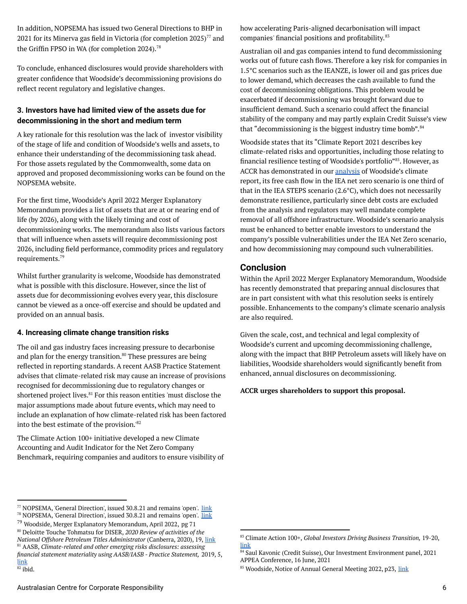In addition, NOPSEMA has issued two General Directions to BHP in 2021 for its Minerva gas field in Victoria (for completion 2025) $^{77}$  and the Griffin FPSO in WA (for completion 2024). 78

To conclude, enhanced disclosures would provide shareholders with greater confidence that Woodside's decommissioning provisions do reflect recent regulatory and legislative changes.

#### **3. Investors have had limited view of the assets due for decommissioning in the short and medium term**

A key rationale for this resolution was the lack of investor visibility of the stage of life and condition of Woodside's wells and assets, to enhance their understanding of the decommissioning task ahead. For those assets regulated by the Commonwealth, some data on approved and proposed decommissioning works can be found on the NOPSEMA website.

For the first time, Woodside's April 2022 Merger Explanatory Memorandum provides a list of assets that are at or nearing end of life (by 2026), along with the likely timing and cost of decommissioning works. The memorandum also lists various factors that will influence when assets will require decommissioning post 2026, including field performance, commodity prices and regulatory requirements. 79

Whilst further granularity is welcome, Woodside has demonstrated what is possible with this disclosure. However, since the list of assets due for decommissioning evolves every year, this disclosure cannot be viewed as a once-off exercise and should be updated and provided on an annual basis.

#### **4. Increasing climate change transition risks**

The oil and gas industry faces increasing pressure to decarbonise and plan for the energy transition.<sup>80</sup> These pressures are being reflected in reporting standards. A recent AASB Practice Statement advises that climate-related risk may cause an increase of provisions recognised for decommissioning due to regulatory changes or shortened project lives.<sup>81</sup> For this reason entities 'must disclose the major assumptions made about future events, which may need to include an explanation of how climate-related risk has been factored into the best estimate of the provision.' 82

The Climate Action 100+ initiative developed a new Climate Accounting and Audit Indicator for the Net Zero Company Benchmark, requiring companies and auditors to ensure visibility of how accelerating Paris-aligned decarbonisation will impact companies' financial positions and profitability. 83

Australian oil and gas companies intend to fund decommissioning works out of future cash flows. Therefore a key risk for companies in 1.5°C scenarios such as the IEANZE, is lower oil and gas prices due to lower demand, which decreases the cash available to fund the cost of decommissioning obligations. This problem would be exacerbated if decommissioning was brought forward due to insufficient demand. Such a scenario could affect the financial stability of the company and may partly explain Credit Suisse's view that "decommissioning is the biggest industry time bomb".<sup>84</sup>

Woodside states that its "Climate Report 2021 describes key climate-related risks and opportunities, including those relating to financial resilience testing of Woodside's portfolio"<sup>85</sup>. However, as ACCR has demonstrated in our [analysis](https://www.accr.org.au/research/woodside-petroleum-ltd-assessment-of-2021-climate-report/) of Woodside's climate report, its free cash flow in the IEA net zero scenario is one third of that in the IEA STEPS scenario (2.6°C), which does not necessarily demonstrate resilience, particularly since debt costs are excluded from the analysis and regulators may well mandate complete removal of all offshore infrastructure. Woodside's scenario analysis must be enhanced to better enable investors to understand the company's possible vulnerabilities under the IEA Net Zero scenario, and how decommissioning may compound such vulnerabilities.

#### **Conclusion**

Within the April 2022 Merger Explanatory Memorandum, Woodside has recently demonstrated that preparing annual disclosures that are in part consistent with what this resolution seeks is entirely possible. Enhancements to the company's climate scenario analysis are also required.

Given the scale, cost, and technical and legal complexity of Woodside's current and upcoming decommissioning challenge, along with the impact that BHP Petroleum assets will likely have on liabilities, Woodside shareholders would significantly benefit from enhanced, annual disclosures on decommissioning.

**ACCR urges shareholders to support this proposal.**

<sup>80</sup> Deloitte Touche Tohmatsu for DISER, *2020 Review of activities of the National Offshore Petroleum Titles Administrator* (Canberra, 2020), 19, [link](https://www.industry.gov.au/sites/default/files/2021-07/nopta-review-2020.pdf)

<sup>81</sup> AASB, *Climate-related and other emerging risks disclosures: assessing*

<sup>&</sup>lt;sup>78</sup> NOPSEMA, 'General Direction', issued 30.8.21 and remains 'open'. [link](https://www.nopsema.gov.au/sites/default/files/2021-09/A781707.pdf) <sup>77</sup> NOPSEMA, 'General Direction', issued 30.8.21 and remains 'open'. [link](https://www.nopsema.gov.au/sites/default/files/2021-09/A781846.pdf)

<sup>79</sup> Woodside, Merger Explanatory Memorandum, April 2022, pg 71

*financial statement materiality using AASB/IASB - Practice Statement,* 2019, 5, [link](https://www.aasb.gov.au/admin/file/content102/c3/AASB_AUASB_Joint_Bulletin_Finished.pdf)

 $82$  ibid.

<sup>83</sup> Climate Action 100+, *Global Investors Driving Business Transition,* 19-20, [link](https://www.climateaction100.org/wp-content/uploads/2021/10/Benchmark-v1.1-summary-pack-Oct21.pdf)

<sup>84</sup> Saul Kavonic (Credit Suisse), Our Investment Environment panel, 2021 APPEA Conference, 16 June, 2021

<sup>&</sup>lt;sup>85</sup> Woodside, Notice of Annual General Meeting 2022, p23, [link](https://cdn-api.markitdigital.com/apiman-gateway/ASX/asx-research/1.0/file/2924-02508778-6A1086003?access_token=83ff96335c2d45a094df02a206a39ff4)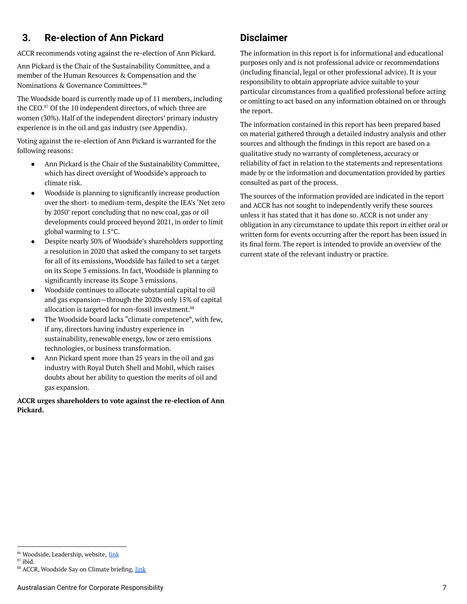## <span id="page-6-0"></span>**3. Re-election of Ann Pickard**

ACCR recommends voting against the re-election of Ann Pickard.

Ann Pickard is the Chair of the Sustainability Committee, and a member of the Human Resources & Compensation and the Nominations & Governance Committees. 86

The Woodside board is currently made up of 11 members, including the CEO. $87$  Of the 10 independent directors, of which three are women (30%). Half of the independent directors' primary industry experience is in the oil and gas industry (see Appendix).

Voting against the re-election of Ann Pickard is warranted for the following reasons:

- Ann Pickard is the Chair of the Sustainability Committee, which has direct oversight of Woodside's approach to climate risk.
- Woodside is planning to significantly increase production over the short- to medium-term, despite the IEA's 'Net zero by 2050' report concluding that no new coal, gas or oil developments could proceed beyond 2021, in order to limit global warming to 1.5°C.
- Despite nearly 50% of Woodside's shareholders supporting a resolution in 2020 that asked the company to set targets for all of its emissions, Woodside has failed to set a target on its Scope 3 emissions. In fact, Woodside is planning to significantly increase its Scope 3 emissions.
- Woodside continues to allocate substantial capital to oil and gas expansion—through the 2020s only 15% of capital allocation is targeted for non-fossil investment. 88
- The Woodside board lacks "climate competence", with few, if any, directors having industry experience in sustainability, renewable energy, low or zero emissions technologies, or business transformation.
- Ann Pickard spent more than 25 years in the oil and gas industry with Royal Dutch Shell and Mobil, which raises doubts about her ability to question the merits of oil and gas expansion.

#### **ACCR urges shareholders to vote against the re-election of Ann Pickard.**

## **Disclaimer**

The information in this report is for informational and educational purposes only and is not professional advice or recommendations (including financial, legal or other professional advice). It is your responsibility to obtain appropriate advice suitable to your particular circumstances from a qualified professional before acting or omitting to act based on any information obtained on or through the report.

The information contained in this report has been prepared based on material gathered through a detailed industry analysis and other sources and although the findings in this report are based on a qualitative study no warranty of completeness, accuracy or reliability of fact in relation to the statements and representations made by or the information and documentation provided by parties consulted as part of the process.

The sources of the information provided are indicated in the report and ACCR has not sought to independently verify these sources unless it has stated that it has done so. ACCR is not under any obligation in any circumstance to update this report in either oral or written form for events occurring after the report has been issued in its final form. The report is intended to provide an overview of the current state of the relevant industry or practice.

<sup>86</sup> Woodside, Leadership, website, [link](https://www.woodside.com.au/who-we-are/leadership)

<sup>87</sup> ibid.

<sup>88</sup> ACCR, Woodside Say on Climate briefing, [link](https://www.accr.org.au/research/woodside-petroleum-ltd-assessment-of-2021-climate-report/)